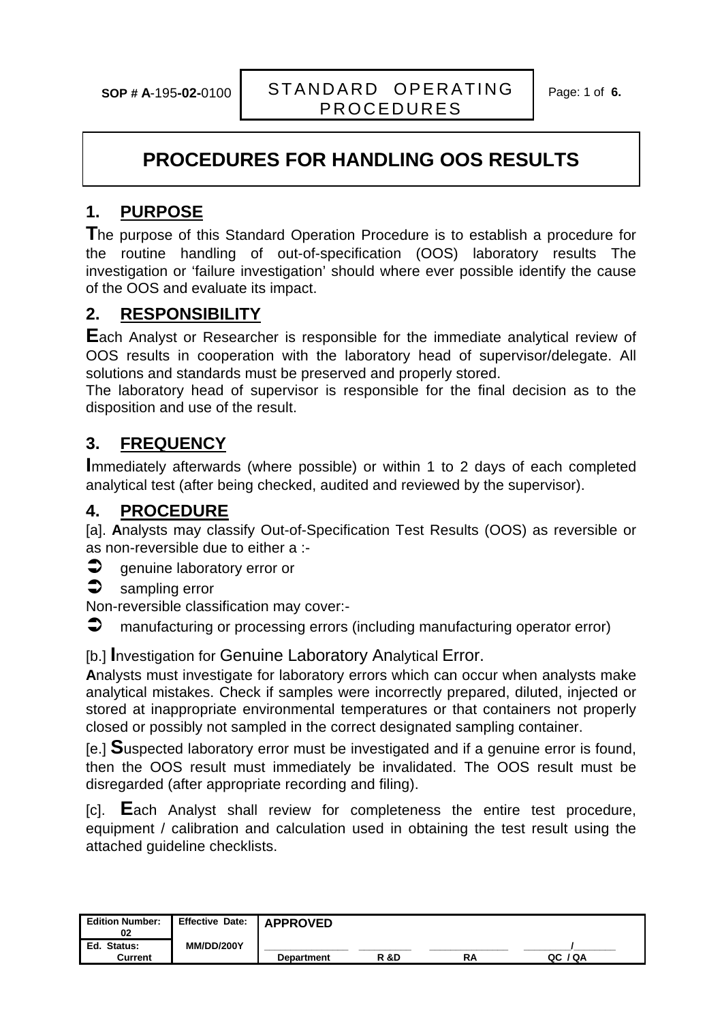## **PROCEDURES FOR HANDLING OOS RESULTS**

### **1. PURPOSE**

**T**he purpose of this Standard Operation Procedure is to establish a procedure for the routine handling of out-of-specification (OOS) laboratory results The investigation or 'failure investigation' should where ever possible identify the cause of the OOS and evaluate its impact.

#### **2. RESPONSIBILITY**

**E**ach Analyst or Researcher is responsible for the immediate analytical review of OOS results in cooperation with the laboratory head of supervisor/delegate. All solutions and standards must be preserved and properly stored.

The laboratory head of supervisor is responsible for the final decision as to the disposition and use of the result.

#### **3. FREQUENCY**

**I**mmediately afterwards (where possible) or within 1 to 2 days of each completed analytical test (after being checked, audited and reviewed by the supervisor).

#### **4. PROCEDURE**

[a]. **A**nalysts may classify Out-of-Specification Test Results (OOS) as reversible or as non-reversible due to either a :-

- $\supset$  genuine laboratory error or
- $\bullet$  sampling error

Non-reversible classification may cover:-

 $\supset$  manufacturing or processing errors (including manufacturing operator error)

[b.] **I**nvestigation for Genuine Laboratory Analytical Error.

**A**nalysts must investigate for laboratory errors which can occur when analysts make analytical mistakes. Check if samples were incorrectly prepared, diluted, injected or stored at inappropriate environmental temperatures or that containers not properly closed or possibly not sampled in the correct designated sampling container.

[e.] **S**uspected laboratory error must be investigated and if a genuine error is found, then the OOS result must immediately be invalidated. The OOS result must be disregarded (after appropriate recording and filing).

[c]. **E**ach Analyst shall review for completeness the entire test procedure, equipment / calibration and calculation used in obtaining the test result using the attached guideline checklists.

| <b>Edition Number:</b><br>02            | Effective Date:   | <b>APPROVED</b>   |      |    |            |  |
|-----------------------------------------|-------------------|-------------------|------|----|------------|--|
| <b>Status:</b><br>Ed.<br><b>Current</b> | <b>MM/DD/200Y</b> | <b>Department</b> | R &D | RA | / QA<br>QC |  |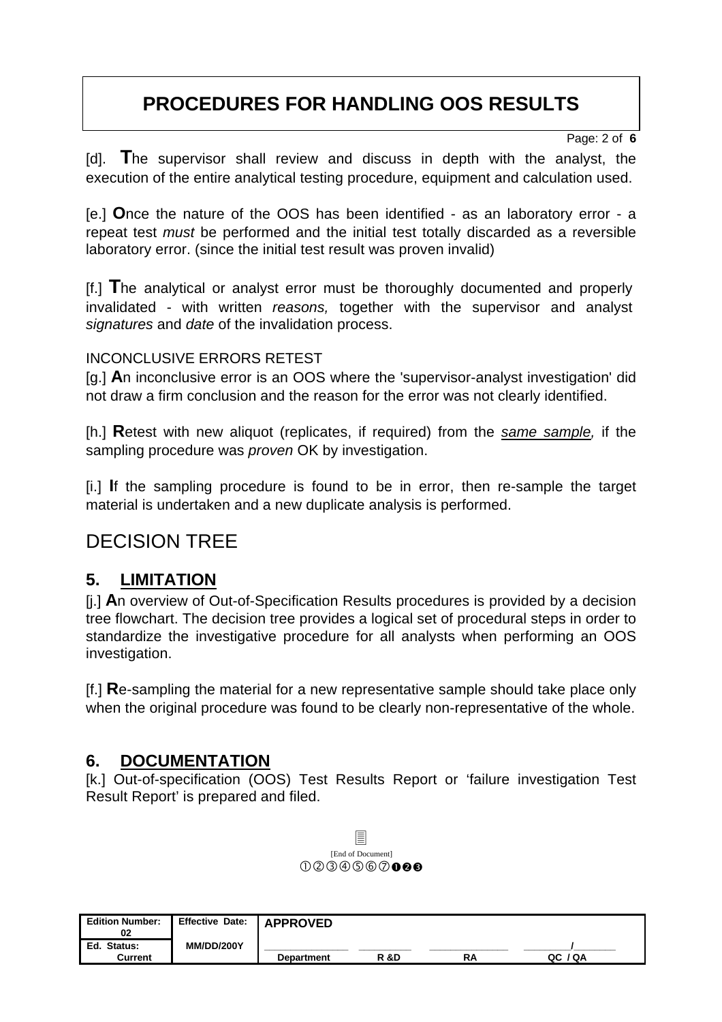## **PROCEDURES FOR HANDLING OOS RESULTS**

Page: 2 of **6**

[d]. **T**he supervisor shall review and discuss in depth with the analyst, the execution of the entire analytical testing procedure, equipment and calculation used.

[e.] **O**nce the nature of the OOS has been identified - as an laboratory error - a repeat test *must* be performed and the initial test totally discarded as a reversible laboratory error. (since the initial test result was proven invalid)

[f.] **T**he analytical or analyst error must be thoroughly documented and properly invalidated - with written *reasons,* together with the supervisor and analyst *signatures* and *date* of the invalidation process.

#### INCONCLUSIVE ERRORS RETEST

[g.] **A**n inconclusive error is an OOS where the 'supervisor-analyst investigation' did not draw a firm conclusion and the reason for the error was not clearly identified.

[h.] **R**etest with new aliquot (replicates, if required) from the *same sample,* if the sampling procedure was *proven* OK by investigation.

[i.] **I**f the sampling procedure is found to be in error, then re-sample the target material is undertaken and a new duplicate analysis is performed.

## DECISION TREE

### **5. LIMITATION**

[j.] **A**n overview of Out-of-Specification Results procedures is provided by a decision tree flowchart. The decision tree provides a logical set of procedural steps in order to standardize the investigative procedure for all analysts when performing an OOS investigation.

[f.] **R**e-sampling the material for a new representative sample should take place only when the original procedure was found to be clearly non-representative of the whole.

### **6. DOCUMENTATION**

[k.] Out-of-specification (OOS) Test Results Report or 'failure investigation Test Result Report' is prepared and filed.



| <b>Edition Number:</b><br>02 | <b>Effective Date:</b><br><b>MM/DD/200Y</b> | <b>APPROVED</b>   |      |    |            |
|------------------------------|---------------------------------------------|-------------------|------|----|------------|
| Ed. Status:<br>Current       |                                             | <b>Department</b> | R &D | RA | / QA<br>QC |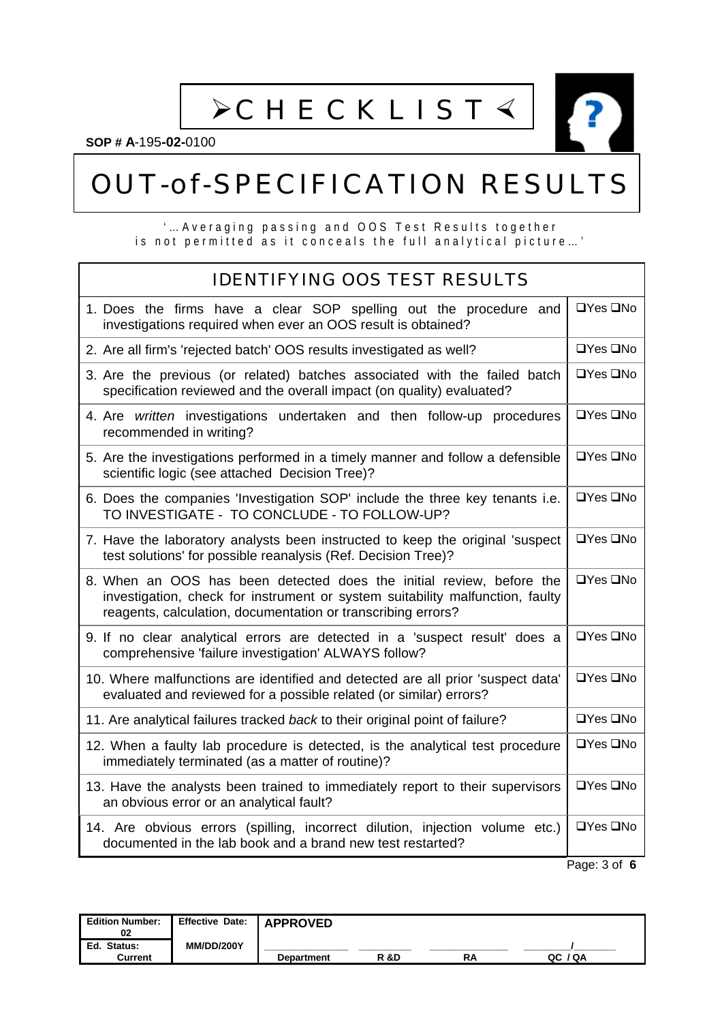$\triangleright$ CHECKLIST  $\triangleleft$ 



**SOP # A**-195**-02-**0100

# OUT-of-SPECIFICATION RESULTS

#### '…Averaging passing and OOS Test Results together is not permitted as it conceals the full analytical picture…'

| <b>IDENTIFYING OOS TEST RESULTS</b>                                                                                                                                                                                   |                       |
|-----------------------------------------------------------------------------------------------------------------------------------------------------------------------------------------------------------------------|-----------------------|
| 1. Does the firms have a clear SOP spelling out the procedure and<br>investigations required when ever an OOS result is obtained?                                                                                     | $\Box$ Yes $\Box$ No  |
| 2. Are all firm's 'rejected batch' OOS results investigated as well?                                                                                                                                                  | $\Box$ Yes $\Box$ No  |
| 3. Are the previous (or related) batches associated with the failed batch<br>specification reviewed and the overall impact (on quality) evaluated?                                                                    | $\Box$ Yes $\Box$ No  |
| 4. Are written investigations undertaken and then follow-up procedures<br>recommended in writing?                                                                                                                     | $\Box$ Yes $\Box$ No  |
| 5. Are the investigations performed in a timely manner and follow a defensible<br>scientific logic (see attached Decision Tree)?                                                                                      | $\Box$ Yes $\Box$ No  |
| 6. Does the companies 'Investigation SOP' include the three key tenants i.e.<br>TO INVESTIGATE - TO CONCLUDE - TO FOLLOW-UP?                                                                                          | $\Box$ Yes $\Box$ No  |
| 7. Have the laboratory analysts been instructed to keep the original 'suspect<br>test solutions' for possible reanalysis (Ref. Decision Tree)?                                                                        | $\Box$ Yes $\Box$ No  |
| 8. When an OOS has been detected does the initial review, before the<br>investigation, check for instrument or system suitability malfunction, faulty<br>reagents, calculation, documentation or transcribing errors? | $\Box$ Yes $\Box$ No  |
| 9. If no clear analytical errors are detected in a 'suspect result' does a<br>comprehensive 'failure investigation' ALWAYS follow?                                                                                    | $\Box$ Yes $\Box$ No  |
| 10. Where malfunctions are identified and detected are all prior 'suspect data'<br>evaluated and reviewed for a possible related (or similar) errors?                                                                 | $\Box$ Yes $\Box$ No  |
| 11. Are analytical failures tracked back to their original point of failure?                                                                                                                                          | $\Box Y$ es $\Box$ No |
| 12. When a faulty lab procedure is detected, is the analytical test procedure<br>immediately terminated (as a matter of routine)?                                                                                     | $\Box Y$ es $\Box$ No |
| 13. Have the analysts been trained to immediately report to their supervisors<br>an obvious error or an analytical fault?                                                                                             | $\Box$ Yes $\Box$ No  |
| 14. Are obvious errors (spilling, incorrect dilution, injection volume etc.)<br>documented in the lab book and a brand new test restarted?                                                                            | $\Box$ Yes $\Box$ No  |
|                                                                                                                                                                                                                       | Page: 3 of 6          |

| <b>Edition Number:</b><br>02 | Effective Date:   | <b>APPROVED</b>   |                |    |         |  |
|------------------------------|-------------------|-------------------|----------------|----|---------|--|
| Ed. Status:<br>Current       | <b>MM/DD/200Y</b> | <b>Department</b> | <b>R&amp;D</b> | RΑ | QC / QA |  |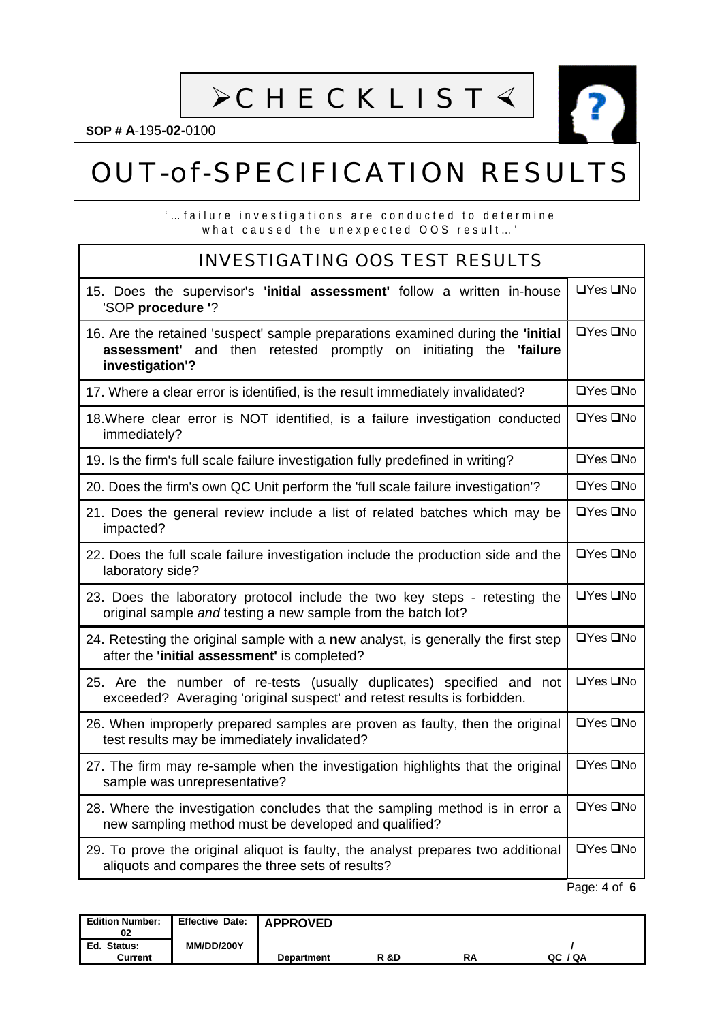**>CHECKLIST <** 

**SOP # A**-195**-02-**0100

# OUT-of-SPECIFICATION RESULTS

'…failure investigations are conducted to determine what caused the unexpected OOS result…'

#### INVESTIGATING OOS TEST RESULTS 15.Does the supervisor's **'initial assessment'** follow a written in-house 'SOP **procedure '**?  $\Box$ Yes  $\Box$ No 16.Are the retained 'suspect' sample preparations examined during the **'initial assessment'** and then retested promptly on initiating the **'failure investigation'?**  $\Box$ Yes  $\Box$ No 17. Where a clear error is identified, is the result immediately invalidated?  $\Box$  Yes  $\Box$ No 18. Where clear error is NOT identified, is a failure investigation conducted immediately?  $\Box$ Yes  $\Box$ No 19. Is the firm's full scale failure investigation fully predefined in writing?  $\Box$  Yes  $\Box$ No 20. Does the firm's own QC Unit perform the 'full scale failure investigation'?  $\Box$  Yes  $\Box$ No 21.Does the general review include a list of related batches which may be impacted?  $\Box$ Yes  $\Box$ No 22.Does the full scale failure investigation include the production side and the laboratory side?  $\Box$ Yes  $\Box$ No 23.Does the laboratory protocol include the two key steps - retesting the original sample *and* testing a new sample from the batch lot?  $\Box$ Yes  $\Box$ No 24.Retesting the original sample with a **new** analyst, is generally the first step after the **'initial assessment'** is completed?  $\Box$ Yes  $\Box$ No 25.Are the number of re-tests (usually duplicates) specified and not exceeded? Averaging 'original suspect' and retest results is forbidden.  $\Box$ Yes  $\Box$ No 26.When improperly prepared samples are proven as faulty, then the original test results may be immediately invalidated?  $\Box$ Yes  $\Box$ No 27.The firm may re-sample when the investigation highlights that the original sample was unrepresentative?  $\Box$ Yes  $\Box$ No 28.Where the investigation concludes that the sampling method is in error a new sampling method must be developed and qualified?  $\Box$ Yes  $\Box$ No 29.To prove the original aliquot is faulty, the analyst prepares two additional aliquots and compares the three sets of results?  $\Box$ Yes  $\Box$ No Page: 4 of **6**

| <b>Edition Number:</b><br>02  | Effective Date:   APPROVED |                   |                 |    |             |  |
|-------------------------------|----------------------------|-------------------|-----------------|----|-------------|--|
| Ed. Status:<br><b>Current</b> | <b>MM/DD/200Y</b>          | <b>Department</b> | <b>R &amp;D</b> | RΑ | 7 Q A<br>ລເ |  |
|                               |                            |                   |                 |    |             |  |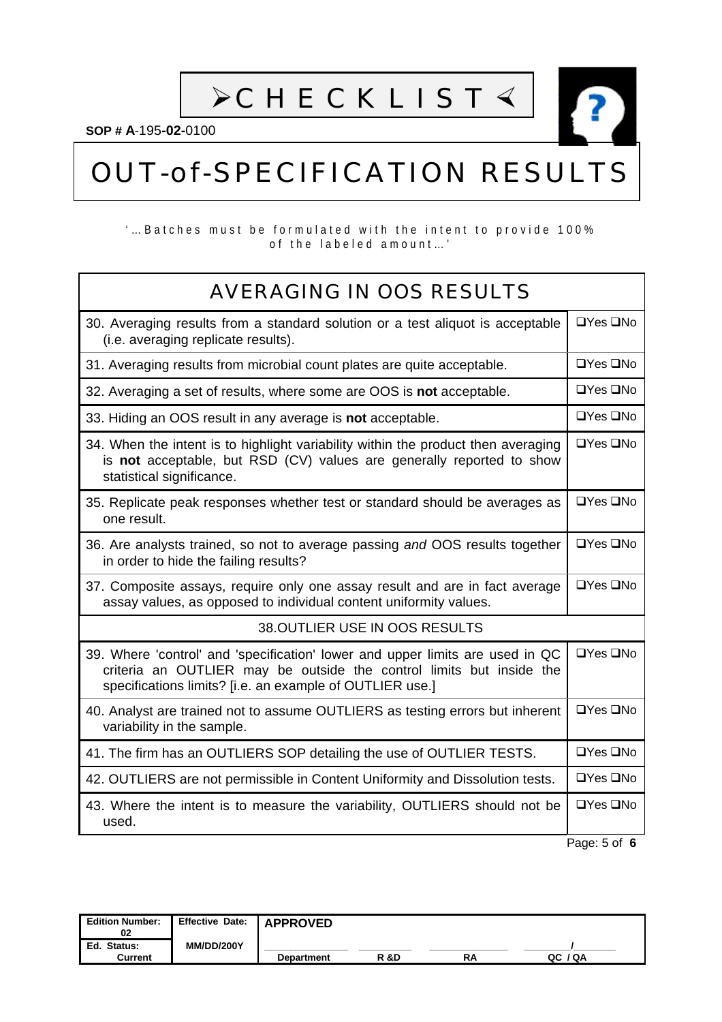$\triangleright$ CHECKLIST  $\triangleleft$ 

**SOP # A**-195**-02-**0100

# OUT-of-SPECIFICATION RESULTS

#### '…Batches must be formulated with the intent to provide 100% of the labeled amount…'

 $\overline{\phantom{a}}$ 

| <b>AVERAGING IN OOS RESULTS</b>                                                                                                                                                                                   |                      |  |  |  |
|-------------------------------------------------------------------------------------------------------------------------------------------------------------------------------------------------------------------|----------------------|--|--|--|
| 30. Averaging results from a standard solution or a test aliquot is acceptable<br>(i.e. averaging replicate results).                                                                                             | $\Box$ Yes $\Box$ No |  |  |  |
| 31. Averaging results from microbial count plates are quite acceptable.                                                                                                                                           | $\Box$ Yes $\Box$ No |  |  |  |
| 32. Averaging a set of results, where some are OOS is not acceptable.                                                                                                                                             | $\Box$ Yes $\Box$ No |  |  |  |
| 33. Hiding an OOS result in any average is not acceptable.                                                                                                                                                        | $\Box$ Yes $\Box$ No |  |  |  |
| 34. When the intent is to highlight variability within the product then averaging<br>is not acceptable, but RSD (CV) values are generally reported to show<br>statistical significance.                           | $\Box$ Yes $\Box$ No |  |  |  |
| 35. Replicate peak responses whether test or standard should be averages as<br>one result.                                                                                                                        | $\Box$ Yes $\Box$ No |  |  |  |
| 36. Are analysts trained, so not to average passing and OOS results together<br>in order to hide the failing results?                                                                                             | $\Box$ Yes $\Box$ No |  |  |  |
| 37. Composite assays, require only one assay result and are in fact average<br>assay values, as opposed to individual content uniformity values.                                                                  | $\Box$ Yes $\Box$ No |  |  |  |
| 38. OUTLIER USE IN OOS RESULTS                                                                                                                                                                                    |                      |  |  |  |
| 39. Where 'control' and 'specification' lower and upper limits are used in QC<br>criteria an OUTLIER may be outside the control limits but inside the<br>specifications limits? [i.e. an example of OUTLIER use.] | $\Box$ Yes $\Box$ No |  |  |  |
| 40. Analyst are trained not to assume OUTLIERS as testing errors but inherent<br>variability in the sample.                                                                                                       | $\Box$ Yes $\Box$ No |  |  |  |
| 41. The firm has an OUTLIERS SOP detailing the use of OUTLIER TESTS.                                                                                                                                              | $\Box$ Yes $\Box$ No |  |  |  |
| 42. OUTLIERS are not permissible in Content Uniformity and Dissolution tests.                                                                                                                                     | $\Box$ Yes $\Box$ No |  |  |  |
| 43. Where the intent is to measure the variability, OUTLIERS should not be<br>used.                                                                                                                               | $\Box$ Yes $\Box$ No |  |  |  |
|                                                                                                                                                                                                                   | Page: 5 of 6         |  |  |  |

| <b>Edition Number:</b><br>02  | Effective Date:   APPROVED<br><b>MM/DD/200Y</b> |                   |                 |    |         |  |
|-------------------------------|-------------------------------------------------|-------------------|-----------------|----|---------|--|
| Ed. Status:<br><b>Current</b> |                                                 | <b>Department</b> | <b>R &amp;D</b> | RA | QC / QA |  |